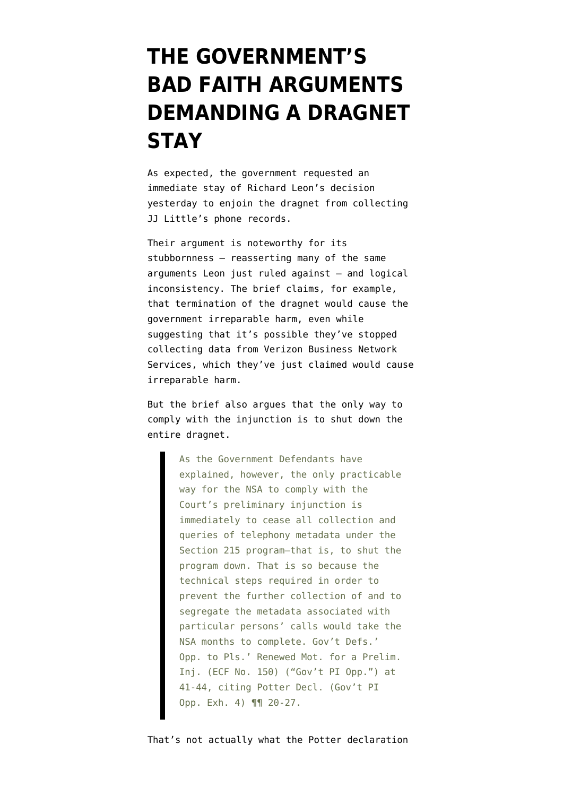## **[THE GOVERNMENT'S](https://www.emptywheel.net/2015/11/10/the-governments-bad-faith-arguments-demanding-a-stay/) [BAD FAITH ARGUMENTS](https://www.emptywheel.net/2015/11/10/the-governments-bad-faith-arguments-demanding-a-stay/) [DEMANDING A DRAGNET](https://www.emptywheel.net/2015/11/10/the-governments-bad-faith-arguments-demanding-a-stay/) [STAY](https://www.emptywheel.net/2015/11/10/the-governments-bad-faith-arguments-demanding-a-stay/)**

As [expected](https://www.emptywheel.net/2015/11/09/richard-leon-halts-the-dragnet-for-one-plaintiff/), the government [requested](http://ia600505.us.archive.org/23/items/gov.uscourts.dcd.160387/gov.uscourts.dcd.160387.160.0.pdf) an immediate stay of Richard Leon's [decision](https://ecf.dcd.uscourts.gov/cgi-bin/show_public_doc?2013cv0851-158) yesterday to enjoin the dragnet from collecting JJ Little's phone records.

Their argument is noteworthy for its stubbornness — reasserting many of the same arguments Leon just ruled against — and logical inconsistency. The brief claims, for example, that termination of the dragnet would cause the government irreparable harm, even while suggesting that it's possible they've stopped collecting data from Verizon Business Network Services, which they've just claimed would cause irreparable harm.

But the brief also argues that the only way to comply with the injunction is to shut down the entire dragnet.

> As the Government Defendants have explained, however, the only practicable way for the NSA to comply with the Court's preliminary injunction is immediately to cease all collection and queries of telephony metadata under the Section 215 program—that is, to shut the program down. That is so because the technical steps required in order to prevent the further collection of and to segregate the metadata associated with particular persons' calls would take the NSA months to complete. Gov't Defs.' Opp. to Pls.' Renewed Mot. for a Prelim. Inj. (ECF No. 150) ("Gov't PI Opp.") at 41-44, citing Potter Decl. (Gov't PI Opp. Exh. 4) ¶¶ 20-27.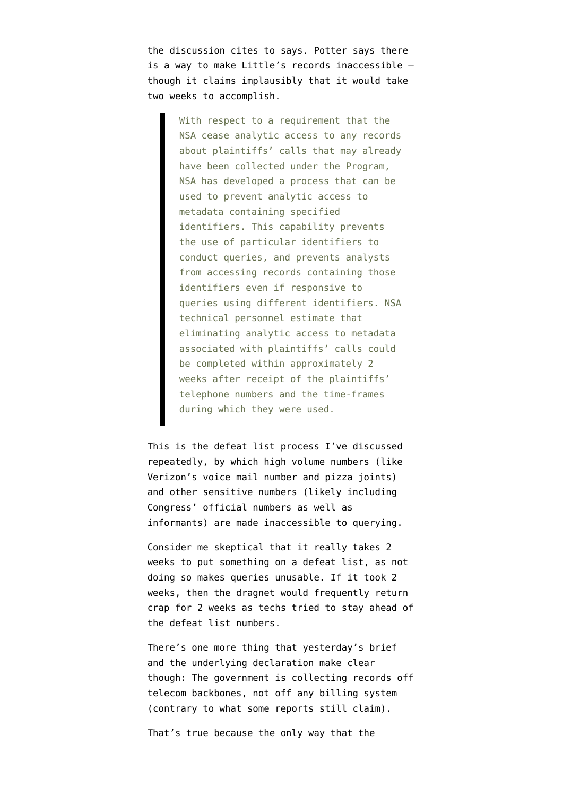the discussion cites to says. Potter says there is a way to make Little's records inaccessible though it claims implausibly that it would take two weeks to accomplish.

> With respect to a requirement that the NSA cease analytic access to any records about plaintiffs' calls that may already have been collected under the Program, NSA has developed a process that can be used to prevent analytic access to metadata containing specified identifiers. This capability prevents the use of particular identifiers to conduct queries, and prevents analysts from accessing records containing those identifiers even if responsive to queries using different identifiers. NSA technical personnel estimate that eliminating analytic access to metadata associated with plaintiffs' calls could be completed within approximately 2 weeks after receipt of the plaintiffs' telephone numbers and the time-frames during which they were used.

This is the defeat list process I've discussed repeatedly, by which high volume numbers (like Verizon's voice mail number and pizza joints) and other sensitive numbers (likely including Congress' official numbers as well as informants) are made inaccessible to querying.

Consider me skeptical that it really takes 2 weeks to put something on a defeat list, as not doing so makes queries unusable. If it took 2 weeks, then the dragnet would frequently return crap for 2 weeks as techs tried to stay ahead of the defeat list numbers.

There's one more thing that yesterday's brief and the underlying declaration make clear though: The government is collecting records off telecom backbones, not off any billing system (contrary to what some reports still claim).

That's true because the only way that the